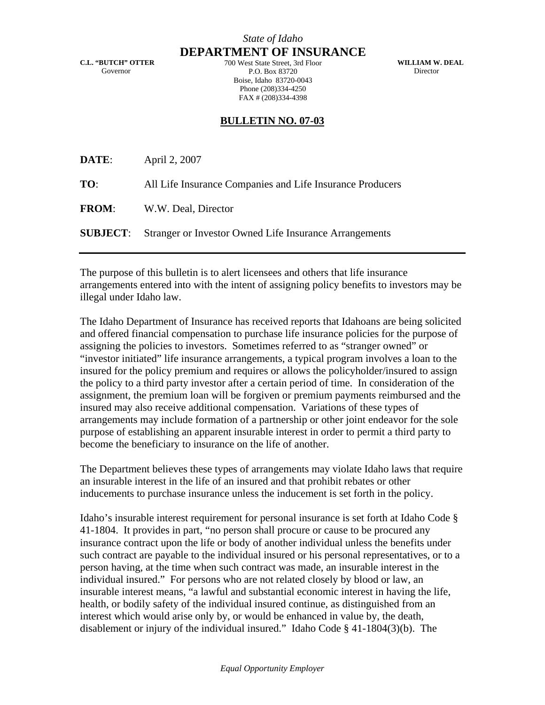*State of Idaho* **DEPARTMENT OF INSURANCE**

**C.L. "BUTCH" OTTER**  Governor

700 West State Street, 3rd Floor P.O. Box 83720 Boise, Idaho 83720-0043 Phone (208)334-4250 FAX # (208)334-4398

**WILLIAM W. DEAL**  Director

## **BULLETIN NO. 07-03**

| DATE:        | April 2, 2007                                                          |
|--------------|------------------------------------------------------------------------|
| TO:          | All Life Insurance Companies and Life Insurance Producers              |
| <b>FROM:</b> | W.W. Deal, Director                                                    |
|              | <b>SUBJECT:</b> Stranger or Investor Owned Life Insurance Arrangements |

The purpose of this bulletin is to alert licensees and others that life insurance arrangements entered into with the intent of assigning policy benefits to investors may be illegal under Idaho law.

The Idaho Department of Insurance has received reports that Idahoans are being solicited and offered financial compensation to purchase life insurance policies for the purpose of assigning the policies to investors. Sometimes referred to as "stranger owned" or "investor initiated" life insurance arrangements, a typical program involves a loan to the insured for the policy premium and requires or allows the policyholder/insured to assign the policy to a third party investor after a certain period of time. In consideration of the assignment, the premium loan will be forgiven or premium payments reimbursed and the insured may also receive additional compensation. Variations of these types of arrangements may include formation of a partnership or other joint endeavor for the sole purpose of establishing an apparent insurable interest in order to permit a third party to become the beneficiary to insurance on the life of another.

The Department believes these types of arrangements may violate Idaho laws that require an insurable interest in the life of an insured and that prohibit rebates or other inducements to purchase insurance unless the inducement is set forth in the policy.

Idaho's insurable interest requirement for personal insurance is set forth at Idaho Code § 41-1804. It provides in part, "no person shall procure or cause to be procured any insurance contract upon the life or body of another individual unless the benefits under such contract are payable to the individual insured or his personal representatives, or to a person having, at the time when such contract was made, an insurable interest in the individual insured." For persons who are not related closely by blood or law, an insurable interest means, "a lawful and substantial economic interest in having the life, health, or bodily safety of the individual insured continue, as distinguished from an interest which would arise only by, or would be enhanced in value by, the death, disablement or injury of the individual insured." Idaho Code § 41-1804(3)(b). The